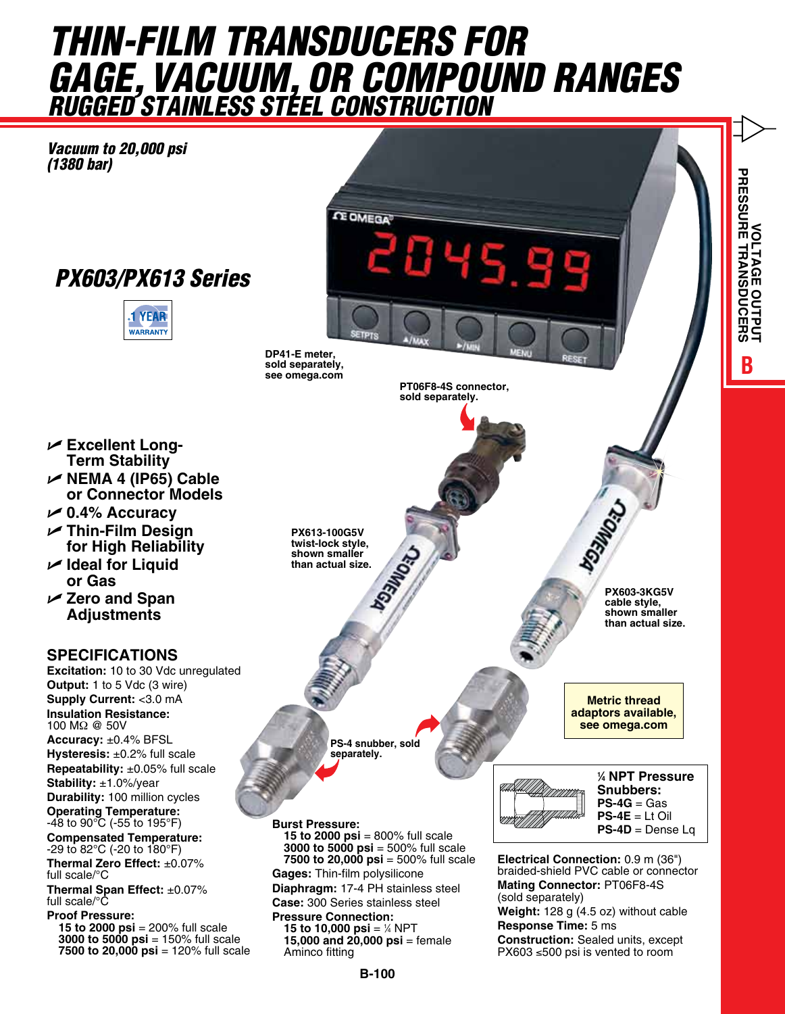## *THIN-FILM TRANSducerS for Gage, Vacuum, or compound Ranges Rugged STAINLESS STEEL CONSTRUCTION*

*Vacuum to 20,000 psi (1380 bar)*





**CE OMEGA** 145.99

> **PT06F8-4S connector, sold separately.**

**PX613-100G5V twist-lock style, shown smaller than actual size.**

**DP41-E meter, sold separately, see omega.com**

> **PS-4 snubber, sold separately.**

**Burst Pressure:** 

**15 to 2000 psi** = 800% full scale **3000 to 5000 psi** = 500% full scale **7500 to 20,000 psi** = 500% full scale **Gages:** Thin-film polysilicone

**Diaphragm:** 17-4 PH stainless steel **Case:** 300 Series stainless steel

**Pressure Connection: 15 to 10,000 psi** =  $\frac{1}{4}$  NPT **15,000 and 20,000 psi** = female Aminco fitting

**1 ⁄4 NPT Pressure Snubbers: PS-4G** = Gas **PS-4E** = Lt Oil  $PS-4D = Dense La$ 

P-DPG500 Fig. 1

**PX603-3KG5V cable style, shown smaller than actual size.**

**Metric thread adaptors available, see omega.com**

**BVOLTAGE OUTPUT PRESSURE TRANSDUCERS**

**TRANSDUCE** 

**VOLTAGE O** 

**PRESSURE** 

**Electrical Connection:** 0.9 m (36") braided-shield PVC cable or connector **Mating Connector:** PT06F8-4S (sold separately) **Weight:** 128 g (4.5 oz) without cable **Response Time:** 5 ms **Construction:** Sealed units, except PX603 ≤500 psi is vented to room

U **Excellent Long-Term Stability**

- U **NEMA 4 (IP65) Cable or Connector Models**
- U **0.4% Accuracy**
- U **Thin-Film Design for High Reliability**
- U **Ideal for Liquid or Gas**
- U **Zero and Span Adjustments**

## **SPECIFICATIONS**

**Excitation:** 10 to 30 Vdc unregulated **Output:** 1 to 5 Vdc (3 wire) **Supply Current:** <3.0 mA **Insulation Resistance:**  100 MΩ @ 50V **Accuracy:** ±0.4% BFSL **Hysteresis:** ±0.2% full scale **Repeatability:** ±0.05% full scale **Stability:** ±1.0%/year **Durability:** 100 million cycles **Operating Temperature:** -48 to 90°C (-55 to 195°F) **Compensated Temperature:** -29 to 82°C (-20 to 180°F) **Thermal Zero Effect:** ±0.07% full scale/°C **Thermal Span Effect:** ±0.07% full scale/°C

**Proof Pressure: 15 to 2000 psi** = 200% full scale **3000 to 5000 psi** = 150% full scale **7500 to 20,000 psi** = 120% full scale